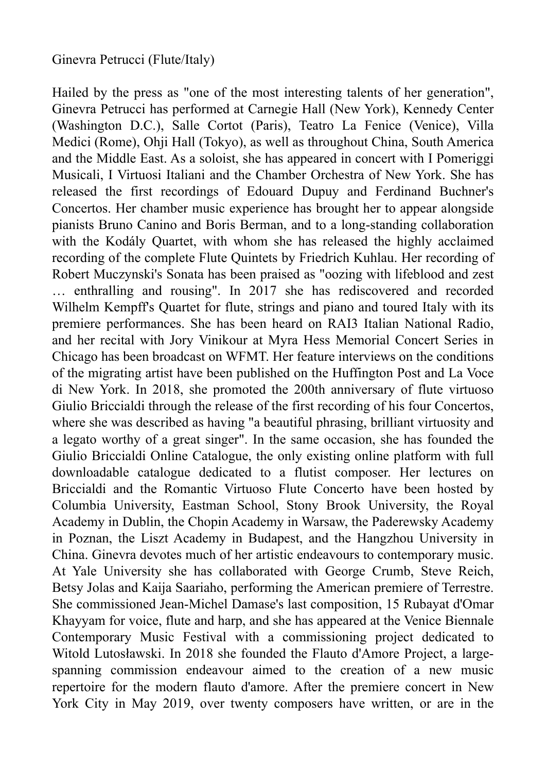Hailed by the press as "one of the most interesting talents of her generation", Ginevra Petrucci has performed at Carnegie Hall (New York), Kennedy Center (Washington D.C.), Salle Cortot (Paris), Teatro La Fenice (Venice), Villa Medici (Rome), Ohji Hall (Tokyo), as well as throughout China, South America and the Middle East. As a soloist, she has appeared in concert with I Pomeriggi Musicali, I Virtuosi Italiani and the Chamber Orchestra of New York. She has released the first recordings of Edouard Dupuy and Ferdinand Buchner's Concertos. Her chamber music experience has brought her to appear alongside pianists Bruno Canino and Boris Berman, and to a long-standing collaboration with the Kodály Quartet, with whom she has released the highly acclaimed recording of the complete Flute Quintets by Friedrich Kuhlau. Her recording of Robert Muczynski's Sonata has been praised as "oozing with lifeblood and zest … enthralling and rousing". In 2017 she has rediscovered and recorded Wilhelm Kempff's Quartet for flute, strings and piano and toured Italy with its premiere performances. She has been heard on RAI3 Italian National Radio, and her recital with Jory Vinikour at Myra Hess Memorial Concert Series in Chicago has been broadcast on WFMT. Her feature interviews on the conditions of the migrating artist have been published on the Huffington Post and La Voce di New York. In 2018, she promoted the 200th anniversary of flute virtuoso Giulio Briccialdi through the release of the first recording of his four Concertos, where she was described as having "a beautiful phrasing, brilliant virtuosity and a legato worthy of a great singer". In the same occasion, she has founded the Giulio Briccialdi Online Catalogue, the only existing online platform with full downloadable catalogue dedicated to a flutist composer. Her lectures on Briccialdi and the Romantic Virtuoso Flute Concerto have been hosted by Columbia University, Eastman School, Stony Brook University, the Royal Academy in Dublin, the Chopin Academy in Warsaw, the Paderewsky Academy in Poznan, the Liszt Academy in Budapest, and the Hangzhou University in China. Ginevra devotes much of her artistic endeavours to contemporary music. At Yale University she has collaborated with George Crumb, Steve Reich, Betsy Jolas and Kaija Saariaho, performing the American premiere of Terrestre. She commissioned Jean-Michel Damase's last composition, 15 Rubayat d'Omar Khayyam for voice, flute and harp, and she has appeared at the Venice Biennale Contemporary Music Festival with a commissioning project dedicated to Witold Lutosławski. In 2018 she founded the Flauto d'Amore Project, a largespanning commission endeavour aimed to the creation of a new music repertoire for the modern flauto d'amore. After the premiere concert in New York City in May 2019, over twenty composers have written, or are in the